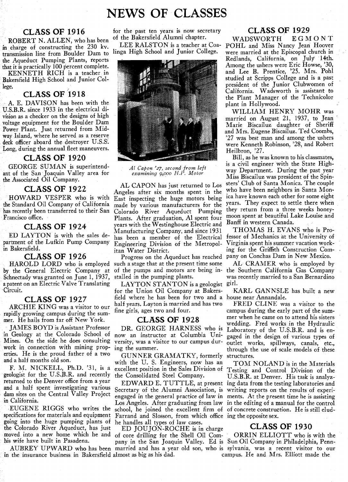# NEWS **CLASSES**

the Aqueduct Pumping Plants, reports - Redlands, California, on July 14th.<br>the Among the ushers were Eric Howse, 30,

Bakersfield High School and Junior Col-

A. E. DAVISON has been with the plant in Hollywood.<br>U.S.B.R. since 1933 in the electrical di-U.S.B.R. since 1933 in the electrical di-<br>vision as a checker on the designs of high the state of the state of the state of the state of the state of the state of the state of the state of the state of the state of the sta Long, during the annual fleet maneuvers.<br>CLASS OF 1920

Schnectady was granted on June 1, 1937, stalled in the pumping plants. was a patent on an Electric Valve Translating LAYTON STANTON is a geologist girl.

rapidly growing campus during the sum-<br>mer. He hails from far off New York. CLASS OF 1928

going into the huge pumping plants of he handles all types of law cases.<br>the Colorado River Aqueduct, has just ED JOUJON-ROCHE is in charge the Colorado River Aqueduct, has just ED JOUJON-ROCHE is in charge **CLASS OF 1930**<br>moved into a new home which he and of core drilling for the Shell Oil Com- ORRIN ELLIOTT who is with the

in the insurance business in Bakersfield almost as big as his dad.

**CLASS OF 1916** for the past ten years is now secretary **CLASS OF 1929**<br>**ERT N ALLEN** who has been of the Bakersfield Alumni chapter. WADSWORTH EGMONT

in charge of constructing the 230 kv. LEE RALSTON is a teacher at Coa- POHL and Miss Nancy Jean Hoover



**CLASS OF 1922**<br>HOWARD VESPER who is with East inspecting the huge motors being ica have known each other for some eight HOWARD VESPER who is with East inspecting the huge motors being ica have known each other for some eight<br>the Standard Oil Company of California, made by various manufacturers for the years. They expect to settle there when the Standard Oil Company of California made by various manufacturers for the years. They expect to settle there when<br>has recently been transferred to their San Colorado. River. Aqueduct. Pumping they return from a three we has recently been transferred to their San Colorado River Aqueduct Pumping they return from a three weeks honey-<br>Francisco office, Francisco office, Plants, After graduation, Al spent four moon spent at beautiful Lake Loui Plants. After graduation, Al spent four moon spent at beautiful L<br>many with the Westinghouse Fleatric and Banff in western Canada. **CLASS OF 1924 SCLASS OF 1924 Versus with the Westinghouse Electric and Banff in western Canada.**<br> **ED LAYTON** is with the sales de-<br>
has been a member of the Electrical fessor of Mechanics at the University of Manufacturing Company, and since 1931 THOMAS H. EVANS who is Pro-ED LAYTON is with the sales de- has been a member of the Electrical fessor of Mechanics at the University of partment of the Lufkin Pump Company Fragineering Division of the Metropol- Virginia spent his summer vacation wor partment of the Lufkin Pump Company Engineering Division of the Metropol-<br>in Bakersfield. itan Water District. ing for the Griffith Construction Com-

**CLASS OF 1926** Progress on the Aqueduct has reached pany on Conchas Dam in New Mexico.<br>OLD LORD who is emploved such a stage that at the present time some AL CRAMER who is emploved by HAROLD LORD who is employed such a stage that at the present time some AL CRAMER who is employed by<br>the General Electric Company at of the pumps and motors are being in-the Southern California Gas Company **by** the General Electric Company at of the pumps and motors are being in- the Southern California Gas Company

a patent on an Electric Valve Translating LAYTON STANTON is a geologist girl.<br>Circuit. for the Union Oil Company at Bakers- KARL GANNSLE has built a new for the Union Oil Company at Bakers-**CLASS OF 1927** field where he has been for two and a house near Annandale. ARCHIE KING was a visitor to our half years. Layton is married and has two FRED CLINE was a visitor to the<br>Half anywing compared with the sum fine girls, ages two and four. campus during the early part of the sum-

erties. He is the proud father of a two<br>and a half months old son.<br>with the U.S. Engineers, now has an  $TOM$ and a half months old son.<br>
F. M. NICKELL, Ph.D. '31, is a excellent position in the Sales Division of  $T$ esting and Control Division of the

EUGENE RIGGS who writes the school, he joined the excellent firm of of concrete construction. He is still elud-<br>specifications for materials and equipment Farrand and Slosson, from which office ing the opposite sex. Farrand and Slosson, from which office ing the opposite sex.<br>he handles all types of law cases.

moved into a new home which he and of core drilling for the Shell Oil Com-<br>his wife have built in Pasadena.

ROBERT N. ALLEN, who has been of the Bakersheid Alumni chapter. WADSWORTH E G M ON T<br>in charge of constructing the 230 kv. LEE RALSTON is a teacher at Coa- POHL and Miss Nancy Jean Hoover transmission line from Boulder Dam to linga High School and Junior College. were married at the Episcopal church in that it is practically 100 percent complete.<br>KENNETH RICH is a teacher in the set of the set of the set of the and Lee B. Prentice, '25. Mrs. Pohl KENNETH RICH is a teacher in and Lee B. Prentice, '25. Mrs. Pohl lege. CLASS OF 1918 **CLASS OF 1918 CLASS OF 1918 California.** Wadsworth is assistant to the Plant Manager of the Technicolor

vision as a checker on the designs of high married on August 21, 1937, to Jean 'visitation August 21, 1937, to Jean 'visitation August 21, 1937, to Jean 'visitation August 21, 1937, to Jean 'visitation August 21, 1937, to voltage equipment for the Boulder Dam<br>
Power Plant. Just returned from Mid-<br>
Marie Biscailuz daughter of Sheriff Power Plant. Just returned from Mid-<br>way Island, where he served as a reserve and among the served as a reserved and Mrs. Eugene Biscailuz. Ted Coombs, deck officer aboard the destroyer U.S.S.<br>Long, during the annual fleet maneuvers.<br>
Heilbron, '27.<br>
Heilbron, '27.

Bill, as he was known to his classmates, is a civil engineer with the State High-GEORGE SUMAN is superintend-<br>
is a civil engineer with the State High-<br>
is a civil engineer with the State High-<br>
is a civil engineer with the State High-<br> *Al Capon '27, second from left* by the National Miss Piacellus su ant of the San Joaquin Valley area for *examining 9,000 H.P. Motor* way Department. During the past year<br>the *Associated* Oil Company the Associated Oil Company.<br>AL CAPON has just returned to Los sters' Club of Santa Monica. The couple

pluty growing campus during the sum-<br>
Free Mork. **CLASS OF 1928** mer when he came on to attend his sisters<br>
TAMES BOYD is Assistant Professor DR. GEORGE HARNESS who is I abaratary of the USBB and is an JAMES BOYD is Assistant Professor<br>in Geology at the Colorado School of now an instructor at Columbia Uni-<br>Mines. On the side he does consulting versity, was a visitor to our campus dur-<br>Mines. On the side he does consultin Mines. On the side he does consulting versity, was a visitor to our campus dur- outlet works, spillways, canals, etc., work in connection with mining prop- ing the summer. work in connection with mining prop- ing the summer.<br>
erties. He is the proud father of a two<br>  $\sum_{i=1}^{n}$   $\sum_{i=1}^{n}$   $\sum_{i=1}^{n}$   $\sum_{i=1}^{n}$   $\sum_{i=1}^{n}$   $\sum_{i=1}^{n}$   $\sum_{i=1}^{n}$   $\sum_{i=1}^{n}$   $\sum_{i=1}^{n}$   $\sum_{i=1}^{$ 

geologist for the U.S.B.R. and recently the Consolidated Steel Company.<br>
TEDWARD E. TUTTLE, at present ing data from the testing lands is analyzed<br>
and a half spent investigating various Secretary of the Alumni Association

pany in the San Joaquin Valley. Ed is Sun Oil Company in Philadelphia, Penn-AUBREY UPWARD who has been married and has a year old son, who is sylvania, was a recent visitor to our<br>the insurance business in Bakersfield almost as big as his dad. The campus. He and Mrs. Elliott made the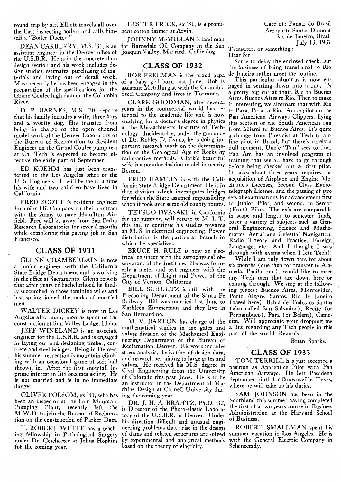round trip by air. Elliott travels all over the East inspecting boilers and calls him- nent cotton farmer at Arvin. Aeroporto Santos Dumont self a "Boiler Doctor."

assistant engineer in the Denver office of Joaquin Valley. Married. Collie dog. Theasurer,<br>the U.S.R.R. He is in the concrete dam the U.S.B.R. He is in the concrete dam design section and his work includes design studies, estimates, purchasing of materials and laying out of detail work. Most recently he has been engaged in the preparation of the specifications for the Grand Coulee high dam on the Columbia River.

D. P. BARNES, M.S. '30, reports that his family includes a wife, three boys and a woolly dog. His transfer from being in charge of the open channel model work of the Denver Laboratory of the Bureau of Reclamation to Resident Engineer on the Grand Coulee pump test at Cal Tech is expected to become effective the early part of September.

ED KOEHM has just been transferred to the Los Angeles office of the U. S. Engineers. It will be the first time his wife and two children have lived in California.

FRED SCOTT is resident engineer for union Oil Company on their contract with the Army to pave Hamilton Airfield. Fred will be away from San Pedro Research Laboratories for several months while completing this paving job in San Francisco.

### **CLASS OF 193 1**

GLENN CHAMBERLAIN is now a junior engineer with the California State Bridge Department and is working in the office at Sacramento. Glenn reports that after years of bachelorhood he finally succumbed to those feminine wiles and last spring joined the ranks of married men.

WALTER DICKEY is now in Los Angeles after many months spent on the construction of Sun Valley Lodge, Idaho.

JEFF WINELAND is an associate engineer for the U.S.B.R. and is engaged in laying out and designing timber, concrete and steel bridges. Being in Denver, his summer recreation is mountain climbing with an occasional game of soft ball thrown in. After the first snowfall his prime interest in life becomes skiing. He is not married and is in no immediate danger.

OLIVER FOLSOM, ex '31, who has been an inspector at the Iron Mountain Pumping Plant, recently left the M.W.D. to join the Bureau of Reclamation on the construction of Parker Dam.

T. ROBERT WHITE has a teaching fellowship in Pathological Surgery under Dr. Geschecter at Johns Hopkins for the coming year.

LESTER FRICK, ex '31, is a promi- Care of: Panair do Brasil

DEAN CARBERRY, M.S. '31, is an for Barnsdale Oil Company in the San  $T_{\text{resuler, or something}}$ . JOHNNY McMILLAN is land man Rio de Janeiro, Brasil<br>
Roman Land City Company in the Sen

BOB FREEMAN is the proud papa de Janeiro rather upset the routine.<br>a haby girl born last June. Bob is This particular alumnus is now enof a baby girl born last June. Bob is This particular alumnus is now en-<br>assistant Metallurgist with the Columbia gaged in settling down into a rut; it's assistant Metallurgist with the Columbia gaged in settling down into a rut; it's<br>Steel Company and lives in Torrance a pretty big rut at that: Rio to Buenos Steel Company and lives in Torrance.

years in the commercial world has returned to the academic life and is now pan American Airways Clippers, flying<br>studying for a doctor's degree in physics this section of the South American run studying for a doctor's degree in physics this section of the South American run<br>at the Massachusetts Institute of Tech-from Miami to Buenos Aires. It's quite at the Massachusetts Institute of Tech- from Miami to Buenos Aires. It's quite nology. Incidentally, under the guidance a change from Physicist at Tech to air-<br>of Dr. Robley D. Evans, he is doing im-line pilot in Brasil b of Dr. Robley D. Evans, he is doing im- line pilot in Brasil, but there's rarely a portant research work on the determina- dull moment. Uncle "Pan" sees to that portant research work on the determina- dull moment. Uncle "Pan" sees to that, tion of the Geological Age of Rocks by pan Am has an involved program of radio-active methods. Clark's beautiful training that we all have to go through<br>wife is a popular fashion model in nearby before being checked out as first pilot

fornia State Bridge Department. He is in chanic's Licenses, Second Class Radiothat division which investigates bridges telegraph License, and the passing of two for which the State assumed responsibility sets of examinations for advancement first

this fair to continue ins studies towards eral Engineering, Science and Mathe-<br>an M. S. in electrical engineering. Power matics, Aerial and Celestial Navigation

trical engineer with the astrophysical observatory of the Institute. He was formerly a meter and test engineer with the meda, Pacific run), would like to meet<br>Department of Light and Power of the any Tech men that are down here or Department of Light and Power of the any Tech men that are down here or

BILL SCHULTZ is still with the ing places: Buenos Aires, Montevideo, Precooling Department of the Santa Fe Porto Alegre. Santos. Rio de Taneiro

M. V. BARTON has charge of the cim. Will appreciate your dropping me mathematical studies in the gates and a line regarding any Tech people in this valves division of the Mechanical Engi-<br>neering Department of the Bureau of neering Department of the Bureau of Brian Sparks.<br>Reclamation, Denver. His work includes<br>stress analysis, derivation of design data, **CLASS OF 1933** stress analysis, derivation of design data,<br>and research pertaining to large gates and and research pertaining to large gates and TOM TERRILL has just accepted a valves. He received his M.S. degree in position as Apprentice Pilot with Pan Civil Engineering from the University American Airways. He left Pasadena of Colorado this past June. He is to be September ninth for Brownsville, Texas, an instructor in the Department of Ma-<br>an instructor in the Department of Ma-<br>where he will take up his duties. chine Design at Cornell University dur-<br>ing the coming year.

is Director of the Photo-elastic Labora-<br>the first of a two years course in Business<br>tory of the H<sub>R</sub> E R R at Denver, Hadan Administration at the Harvard School tory of the U.S.B.R. at Denver. Under  $\frac{\text{Admunistral}}{\text{Athmol}}$  of Business. his direction difficult and unusual engineering problems that arise in the design ROBERT SMALLMAN spent his of dams and related structures are solved summer vacation in Los Angeles. He is<br>by experimental and analytical methods with the General Electric Company in by experimental and analytical methods based on the theory of elasticity. Schenectady.

**CLASS OF 1932** Sorry to delay the enclosed check, but the business of being transferred to Rio

Aires, Buenos Aires to Rio. Then to make CLARK GOODMAN, after several it interesting, we alternate that with Rio<br>ars in the commercial world has re-<br>to Para, Para to Rio. Am copilot on the wife is a popular fashion model in nearby before being checked out as first pilot. Boston. It takes about three years, requires the FRED HAMLIN is with the Cali- acquisition of Airplane and Engine Mewhen it took over some old county routes. to Junior Pilot, and second, to Senior TETSUO IWASAKI, in California (First) Pilot. The ex's are comparable<br>for the summer, will return to M. I. T. in scope and length to semester finals,<br>this fall to continue his studies towards are Fragmenting Science and Ma an M. S. In electrical engineering. Tower matics, Aerial and Celestial Navigation,<br>distribution is the particular branch in Radio, Theory and Practice, Foreign ustribution is the particular branch in Radio Theory and Practice, Foreign<br>Forguese at and I thought I was which he specializes.<br>
BRUCE H. RULE is now an elec-<br>
trical engineer with the astrophysical ob-<br>
While I am only down here for about

six months (due then for transfer to Alaty of Vernon, California.<br>City of Vernon, California.<br>BILL SCHULTZ is still with the ing places: Buenos Aires. Montevideo. Precooling Department of the Santa Fe Porto Alegre, Santos, Rio de Janeiro Railway. Bill was married last June to (based here), Bahia de Todos os Santos Kathleen Zimmerman and they live in (also called San Salvador), Recife (or San Bernardino. Pernambuco) , Para (or Belem) , Camoa line regarding any Tech people in this part of the world. Regards,

SAM JOHNSON has been in the DR. J. H. A. BRAHTZ, Ph.D. '32, Southland this summer having completed<br>Director of the Photo cleatic I change the first of a two years course in Business